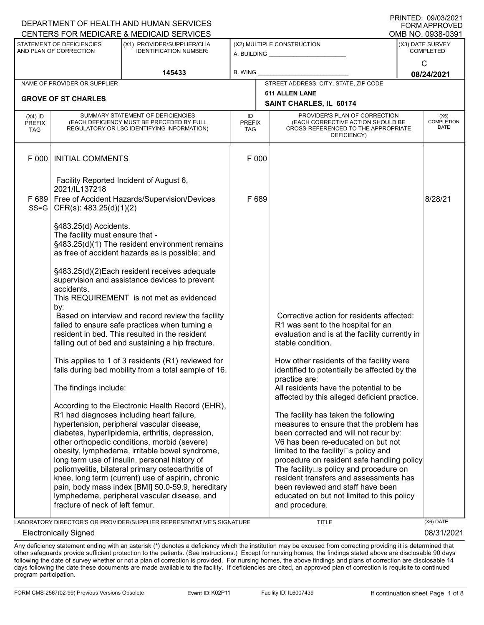|                                                     |                                                                                                        | CENTERS FOR MEDICARE & MEDICAID SERVICES                                                                                                                                                                                                                                                                                                                                                                                                                                                                                                                                                                                                                                                                                                                                                                                                                                         | FUNIMAFFNUVED<br>OMB NO. 0938-0391 |       |                                                                                                                                                                                                                                                                                                                                                                                                                                                                                                                                                                         |                                          |  |  |
|-----------------------------------------------------|--------------------------------------------------------------------------------------------------------|----------------------------------------------------------------------------------------------------------------------------------------------------------------------------------------------------------------------------------------------------------------------------------------------------------------------------------------------------------------------------------------------------------------------------------------------------------------------------------------------------------------------------------------------------------------------------------------------------------------------------------------------------------------------------------------------------------------------------------------------------------------------------------------------------------------------------------------------------------------------------------|------------------------------------|-------|-------------------------------------------------------------------------------------------------------------------------------------------------------------------------------------------------------------------------------------------------------------------------------------------------------------------------------------------------------------------------------------------------------------------------------------------------------------------------------------------------------------------------------------------------------------------------|------------------------------------------|--|--|
| STATEMENT OF DEFICIENCIES<br>AND PLAN OF CORRECTION |                                                                                                        | (X1) PROVIDER/SUPPLIER/CLIA<br><b>IDENTIFICATION NUMBER:</b>                                                                                                                                                                                                                                                                                                                                                                                                                                                                                                                                                                                                                                                                                                                                                                                                                     |                                    |       | (X2) MULTIPLE CONSTRUCTION<br>A. BUILDING <u>____________________</u>                                                                                                                                                                                                                                                                                                                                                                                                                                                                                                   | (X3) DATE SURVEY<br><b>COMPLETED</b>     |  |  |
| 145433                                              |                                                                                                        |                                                                                                                                                                                                                                                                                                                                                                                                                                                                                                                                                                                                                                                                                                                                                                                                                                                                                  | <b>B. WING</b>                     |       |                                                                                                                                                                                                                                                                                                                                                                                                                                                                                                                                                                         | $\mathsf{C}$<br>08/24/2021               |  |  |
|                                                     | NAME OF PROVIDER OR SUPPLIER                                                                           |                                                                                                                                                                                                                                                                                                                                                                                                                                                                                                                                                                                                                                                                                                                                                                                                                                                                                  |                                    |       | STREET ADDRESS, CITY, STATE, ZIP CODE                                                                                                                                                                                                                                                                                                                                                                                                                                                                                                                                   |                                          |  |  |
|                                                     | <b>GROVE OF ST CHARLES</b>                                                                             |                                                                                                                                                                                                                                                                                                                                                                                                                                                                                                                                                                                                                                                                                                                                                                                                                                                                                  |                                    |       | <b>611 ALLEN LANE</b>                                                                                                                                                                                                                                                                                                                                                                                                                                                                                                                                                   |                                          |  |  |
|                                                     |                                                                                                        |                                                                                                                                                                                                                                                                                                                                                                                                                                                                                                                                                                                                                                                                                                                                                                                                                                                                                  |                                    |       | SAINT CHARLES, IL 60174                                                                                                                                                                                                                                                                                                                                                                                                                                                                                                                                                 |                                          |  |  |
| $(X4)$ ID<br><b>PREFIX</b><br><b>TAG</b>            |                                                                                                        | SUMMARY STATEMENT OF DEFICIENCIES<br>(EACH DEFICIENCY MUST BE PRECEDED BY FULL<br>REGULATORY OR LSC IDENTIFYING INFORMATION)                                                                                                                                                                                                                                                                                                                                                                                                                                                                                                                                                                                                                                                                                                                                                     | ID<br>PREFIX<br>TAG                |       | PROVIDER'S PLAN OF CORRECTION<br>(EACH CORRECTIVE ACTION SHOULD BE<br>CROSS-REFERENCED TO THE APPROPRIATE<br>DEFICIENCY)                                                                                                                                                                                                                                                                                                                                                                                                                                                | (X5)<br><b>COMPLETION</b><br><b>DATE</b> |  |  |
| F 000                                               | <b>INITIAL COMMENTS</b>                                                                                |                                                                                                                                                                                                                                                                                                                                                                                                                                                                                                                                                                                                                                                                                                                                                                                                                                                                                  | F 000                              |       |                                                                                                                                                                                                                                                                                                                                                                                                                                                                                                                                                                         |                                          |  |  |
|                                                     | Facility Reported Incident of August 6,<br>2021/IL137218                                               |                                                                                                                                                                                                                                                                                                                                                                                                                                                                                                                                                                                                                                                                                                                                                                                                                                                                                  |                                    |       |                                                                                                                                                                                                                                                                                                                                                                                                                                                                                                                                                                         |                                          |  |  |
| $SS = G$                                            |                                                                                                        | F 689 Free of Accident Hazards/Supervision/Devices<br>$CFR(s)$ : 483.25(d)(1)(2)                                                                                                                                                                                                                                                                                                                                                                                                                                                                                                                                                                                                                                                                                                                                                                                                 |                                    | F 689 |                                                                                                                                                                                                                                                                                                                                                                                                                                                                                                                                                                         | 8/28/21                                  |  |  |
|                                                     | §483.25(d) Accidents.<br>The facility must ensure that -<br>accidents.<br>by:<br>The findings include: | §483.25(d)(1) The resident environment remains<br>as free of accident hazards as is possible; and<br>§483.25(d)(2) Each resident receives adequate<br>supervision and assistance devices to prevent<br>This REQUIREMENT is not met as evidenced<br>Based on interview and record review the facility<br>failed to ensure safe practices when turning a<br>resident in bed. This resulted in the resident<br>falling out of bed and sustaining a hip fracture.<br>This applies to 1 of 3 residents (R1) reviewed for<br>falls during bed mobility from a total sample of 16.<br>According to the Electronic Health Record (EHR),<br>R1 had diagnoses including heart failure,<br>hypertension, peripheral vascular disease,<br>diabetes, hyperlipidemia, arthritis, depression,<br>other orthopedic conditions, morbid (severe)<br>obesity, lymphedema, irritable bowel syndrome, |                                    |       | Corrective action for residents affected:<br>R1 was sent to the hospital for an<br>evaluation and is at the facility currently in<br>stable condition.<br>How other residents of the facility were<br>identified to potentially be affected by the<br>practice are:<br>All residents have the potential to be<br>affected by this alleged deficient practice.<br>The facility has taken the following<br>measures to ensure that the problem has<br>been corrected and will not recur by:<br>V6 has been re-educated on but not<br>limited to the facility□s policy and |                                          |  |  |
|                                                     | fracture of neck of left femur.                                                                        | long term use of insulin, personal history of<br>poliomyelitis, bilateral primary osteoarthritis of<br>knee, long term (current) use of aspirin, chronic<br>pain, body mass index [BMI] 50.0-59.9, hereditary<br>lymphedema, peripheral vascular disease, and                                                                                                                                                                                                                                                                                                                                                                                                                                                                                                                                                                                                                    |                                    |       | procedure on resident safe handling policy<br>The facility□s policy and procedure on<br>resident transfers and assessments has<br>been reviewed and staff have been<br>educated on but not limited to this policy<br>and procedure.                                                                                                                                                                                                                                                                                                                                     |                                          |  |  |

LABORATORY DIRECTOR'S OR PROVIDER/SUPPLIER REPRESENTATIVE'S SIGNATURE TITLE (X6) DATE

DEPARTMENT OF HEALTH AND HUMAN SERVICES

Electronically Signed 08/31/2021

PRINTED: 09/03/2021 FORM APPROVED

Any deficiency statement ending with an asterisk (\*) denotes a deficiency which the institution may be excused from correcting providing it is determined that other safeguards provide sufficient protection to the patients. (See instructions.) Except for nursing homes, the findings stated above are disclosable 90 days following the date of survey whether or not a plan of correction is provided. For nursing homes, the above findings and plans of correction are disclosable 14 days following the date these documents are made available to the facility. If deficiencies are cited, an approved plan of correction is requisite to continued program participation.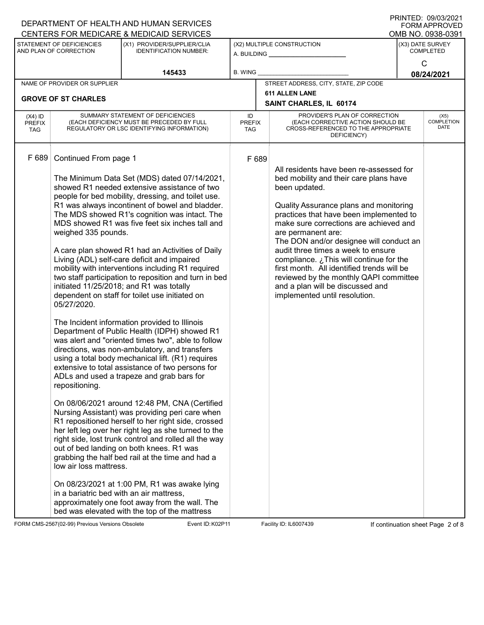| CENTERS FOR MEDICARE & MEDICAID SERVICES<br>OMB NO. 0938-0391<br>STATEMENT OF DEFICIENCIES<br>(X1) PROVIDER/SUPPLIER/CLIA<br>(X2) MULTIPLE CONSTRUCTION<br>(X3) DATE SURVEY<br>AND PLAN OF CORRECTION<br><b>IDENTIFICATION NUMBER:</b><br><b>COMPLETED</b><br>A. BUILDING <u>____________________</u><br>$\mathsf{C}$<br><b>B. WING</b><br>145433<br>08/24/2021<br>STREET ADDRESS, CITY, STATE, ZIP CODE<br>NAME OF PROVIDER OR SUPPLIER<br><b>611 ALLEN LANE</b><br><b>GROVE OF ST CHARLES</b><br>SAINT CHARLES, IL 60174<br>SUMMARY STATEMENT OF DEFICIENCIES<br>PROVIDER'S PLAN OF CORRECTION<br>ID<br>$(X4)$ ID<br>(X5)<br><b>COMPLETION</b><br>(EACH CORRECTIVE ACTION SHOULD BE<br>(EACH DEFICIENCY MUST BE PRECEDED BY FULL<br><b>PREFIX</b><br><b>PREFIX</b><br>DATE<br>CROSS-REFERENCED TO THE APPROPRIATE<br>REGULATORY OR LSC IDENTIFYING INFORMATION)<br>TAG<br>TAG<br>DEFICIENCY)<br>F 689<br>Continued From page 1<br>F 689<br>All residents have been re-assessed for<br>The Minimum Data Set (MDS) dated 07/14/2021,<br>bed mobility and their care plans have<br>showed R1 needed extensive assistance of two<br>been updated.<br>people for bed mobility, dressing, and toilet use.<br>R1 was always incontinent of bowel and bladder.<br>Quality Assurance plans and monitoring<br>The MDS showed R1's cognition was intact. The<br>practices that have been implemented to<br>MDS showed R1 was five feet six inches tall and<br>make sure corrections are achieved and<br>weighed 335 pounds.<br>are permanent are:<br>The DON and/or designee will conduct an<br>A care plan showed R1 had an Activities of Daily<br>audit three times a week to ensure<br>Living (ADL) self-care deficit and impaired<br>compliance. ¿This will continue for the<br>mobility with interventions including R1 required<br>first month. All identified trends will be<br>two staff participation to reposition and turn in bed<br>reviewed by the monthly QAPI committee<br>initiated 11/25/2018; and R1 was totally<br>and a plan will be discussed and<br>dependent on staff for toilet use initiated on<br>implemented until resolution.<br>05/27/2020.<br>The Incident information provided to Illinois<br>Department of Public Health (IDPH) showed R1<br>was alert and "oriented times two", able to follow<br>directions, was non-ambulatory, and transfers<br>using a total body mechanical lift. (R1) requires<br>extensive to total assistance of two persons for<br>ADLs and used a trapeze and grab bars for |  | DEPARTMENT OF HEALTH AND HUMAN SERVICES |  |  | <b>FORM APPROVED</b> |
|-------------------------------------------------------------------------------------------------------------------------------------------------------------------------------------------------------------------------------------------------------------------------------------------------------------------------------------------------------------------------------------------------------------------------------------------------------------------------------------------------------------------------------------------------------------------------------------------------------------------------------------------------------------------------------------------------------------------------------------------------------------------------------------------------------------------------------------------------------------------------------------------------------------------------------------------------------------------------------------------------------------------------------------------------------------------------------------------------------------------------------------------------------------------------------------------------------------------------------------------------------------------------------------------------------------------------------------------------------------------------------------------------------------------------------------------------------------------------------------------------------------------------------------------------------------------------------------------------------------------------------------------------------------------------------------------------------------------------------------------------------------------------------------------------------------------------------------------------------------------------------------------------------------------------------------------------------------------------------------------------------------------------------------------------------------------------------------------------------------------------------------------------------------------------------------------------------------------------------------------------------------------------------------------------------------------------------------------------------------------------------------------------------------------------------------------------------------------------------------------------------------------------------|--|-----------------------------------------|--|--|----------------------|
|                                                                                                                                                                                                                                                                                                                                                                                                                                                                                                                                                                                                                                                                                                                                                                                                                                                                                                                                                                                                                                                                                                                                                                                                                                                                                                                                                                                                                                                                                                                                                                                                                                                                                                                                                                                                                                                                                                                                                                                                                                                                                                                                                                                                                                                                                                                                                                                                                                                                                                                               |  |                                         |  |  |                      |
|                                                                                                                                                                                                                                                                                                                                                                                                                                                                                                                                                                                                                                                                                                                                                                                                                                                                                                                                                                                                                                                                                                                                                                                                                                                                                                                                                                                                                                                                                                                                                                                                                                                                                                                                                                                                                                                                                                                                                                                                                                                                                                                                                                                                                                                                                                                                                                                                                                                                                                                               |  |                                         |  |  |                      |
|                                                                                                                                                                                                                                                                                                                                                                                                                                                                                                                                                                                                                                                                                                                                                                                                                                                                                                                                                                                                                                                                                                                                                                                                                                                                                                                                                                                                                                                                                                                                                                                                                                                                                                                                                                                                                                                                                                                                                                                                                                                                                                                                                                                                                                                                                                                                                                                                                                                                                                                               |  |                                         |  |  |                      |
|                                                                                                                                                                                                                                                                                                                                                                                                                                                                                                                                                                                                                                                                                                                                                                                                                                                                                                                                                                                                                                                                                                                                                                                                                                                                                                                                                                                                                                                                                                                                                                                                                                                                                                                                                                                                                                                                                                                                                                                                                                                                                                                                                                                                                                                                                                                                                                                                                                                                                                                               |  |                                         |  |  |                      |
|                                                                                                                                                                                                                                                                                                                                                                                                                                                                                                                                                                                                                                                                                                                                                                                                                                                                                                                                                                                                                                                                                                                                                                                                                                                                                                                                                                                                                                                                                                                                                                                                                                                                                                                                                                                                                                                                                                                                                                                                                                                                                                                                                                                                                                                                                                                                                                                                                                                                                                                               |  |                                         |  |  |                      |
|                                                                                                                                                                                                                                                                                                                                                                                                                                                                                                                                                                                                                                                                                                                                                                                                                                                                                                                                                                                                                                                                                                                                                                                                                                                                                                                                                                                                                                                                                                                                                                                                                                                                                                                                                                                                                                                                                                                                                                                                                                                                                                                                                                                                                                                                                                                                                                                                                                                                                                                               |  |                                         |  |  |                      |
| repositioning.<br>On 08/06/2021 around 12:48 PM, CNA (Certified<br>Nursing Assistant) was providing peri care when<br>R1 repositioned herself to her right side, crossed<br>her left leg over her right leg as she turned to the<br>right side, lost trunk control and rolled all the way<br>out of bed landing on both knees. R1 was<br>grabbing the half bed rail at the time and had a<br>low air loss mattress.<br>On 08/23/2021 at 1:00 PM, R1 was awake lying<br>in a bariatric bed with an air mattress,<br>approximately one foot away from the wall. The<br>bed was elevated with the top of the mattress                                                                                                                                                                                                                                                                                                                                                                                                                                                                                                                                                                                                                                                                                                                                                                                                                                                                                                                                                                                                                                                                                                                                                                                                                                                                                                                                                                                                                                                                                                                                                                                                                                                                                                                                                                                                                                                                                                            |  |                                         |  |  |                      |

FORM CMS-2567(02-99) Previous Versions Obsolete **Kollet Event ID: K02P11** Facility ID: IL6007439 If continuation sheet Page 2 of 8

DEPARTMENT OF HEALTH AND HUMAN SERVICES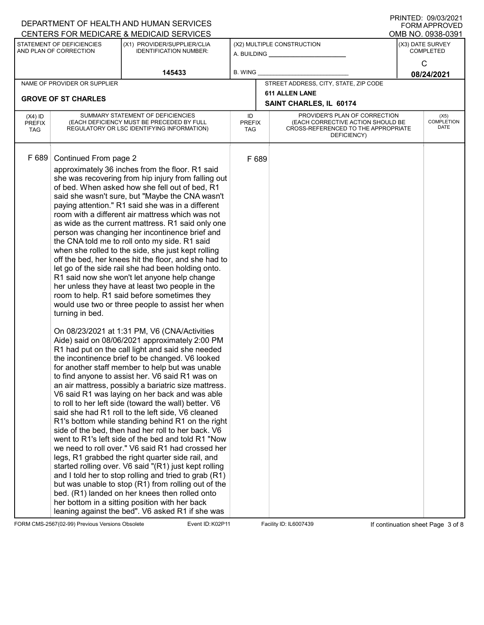|                                                                                                                                                                 |                                                                                                                              | DEPARTMENT OF HEALTH AND HUMAN SERVICES                                                                                                                                                                                                                                                                                                                                                                                                                                                                                                                                                                                                                                                                                                                                                                                                                                                                                                                                                                                                                                                                                                                                                                                                                                                                                                                                                                                                                                                                                                                                                                                                                                                                                                                                                                                                                                                                                                                                                                   |       |                                           |                                                                                                                          |  | ו ועוניט עס פער היהוויו<br><b>FORM APPROVED</b><br>OMB NO. 0938-0391 |
|-----------------------------------------------------------------------------------------------------------------------------------------------------------------|------------------------------------------------------------------------------------------------------------------------------|-----------------------------------------------------------------------------------------------------------------------------------------------------------------------------------------------------------------------------------------------------------------------------------------------------------------------------------------------------------------------------------------------------------------------------------------------------------------------------------------------------------------------------------------------------------------------------------------------------------------------------------------------------------------------------------------------------------------------------------------------------------------------------------------------------------------------------------------------------------------------------------------------------------------------------------------------------------------------------------------------------------------------------------------------------------------------------------------------------------------------------------------------------------------------------------------------------------------------------------------------------------------------------------------------------------------------------------------------------------------------------------------------------------------------------------------------------------------------------------------------------------------------------------------------------------------------------------------------------------------------------------------------------------------------------------------------------------------------------------------------------------------------------------------------------------------------------------------------------------------------------------------------------------------------------------------------------------------------------------------------------------|-------|-------------------------------------------|--------------------------------------------------------------------------------------------------------------------------|--|----------------------------------------------------------------------|
| CENTERS FOR MEDICARE & MEDICAID SERVICES<br>STATEMENT OF DEFICIENCIES<br>(X1) PROVIDER/SUPPLIER/CLIA<br>AND PLAN OF CORRECTION<br><b>IDENTIFICATION NUMBER:</b> |                                                                                                                              |                                                                                                                                                                                                                                                                                                                                                                                                                                                                                                                                                                                                                                                                                                                                                                                                                                                                                                                                                                                                                                                                                                                                                                                                                                                                                                                                                                                                                                                                                                                                                                                                                                                                                                                                                                                                                                                                                                                                                                                                           |       | (X2) MULTIPLE CONSTRUCTION<br>A. BUILDING | (X3) DATE SURVEY<br><b>COMPLETED</b>                                                                                     |  |                                                                      |
| 145433                                                                                                                                                          |                                                                                                                              | <b>B. WING</b>                                                                                                                                                                                                                                                                                                                                                                                                                                                                                                                                                                                                                                                                                                                                                                                                                                                                                                                                                                                                                                                                                                                                                                                                                                                                                                                                                                                                                                                                                                                                                                                                                                                                                                                                                                                                                                                                                                                                                                                            |       |                                           | C<br>08/24/2021                                                                                                          |  |                                                                      |
|                                                                                                                                                                 | NAME OF PROVIDER OR SUPPLIER                                                                                                 |                                                                                                                                                                                                                                                                                                                                                                                                                                                                                                                                                                                                                                                                                                                                                                                                                                                                                                                                                                                                                                                                                                                                                                                                                                                                                                                                                                                                                                                                                                                                                                                                                                                                                                                                                                                                                                                                                                                                                                                                           |       |                                           | STREET ADDRESS, CITY, STATE, ZIP CODE                                                                                    |  |                                                                      |
|                                                                                                                                                                 |                                                                                                                              |                                                                                                                                                                                                                                                                                                                                                                                                                                                                                                                                                                                                                                                                                                                                                                                                                                                                                                                                                                                                                                                                                                                                                                                                                                                                                                                                                                                                                                                                                                                                                                                                                                                                                                                                                                                                                                                                                                                                                                                                           |       |                                           | <b>611 ALLEN LANE</b>                                                                                                    |  |                                                                      |
|                                                                                                                                                                 | <b>GROVE OF ST CHARLES</b>                                                                                                   |                                                                                                                                                                                                                                                                                                                                                                                                                                                                                                                                                                                                                                                                                                                                                                                                                                                                                                                                                                                                                                                                                                                                                                                                                                                                                                                                                                                                                                                                                                                                                                                                                                                                                                                                                                                                                                                                                                                                                                                                           |       |                                           | SAINT CHARLES, IL 60174                                                                                                  |  |                                                                      |
| $(X4)$ ID<br><b>PREFIX</b><br><b>TAG</b>                                                                                                                        | SUMMARY STATEMENT OF DEFICIENCIES<br>(EACH DEFICIENCY MUST BE PRECEDED BY FULL<br>REGULATORY OR LSC IDENTIFYING INFORMATION) |                                                                                                                                                                                                                                                                                                                                                                                                                                                                                                                                                                                                                                                                                                                                                                                                                                                                                                                                                                                                                                                                                                                                                                                                                                                                                                                                                                                                                                                                                                                                                                                                                                                                                                                                                                                                                                                                                                                                                                                                           |       | <b>PREFIX</b>                             | PROVIDER'S PLAN OF CORRECTION<br>(EACH CORRECTIVE ACTION SHOULD BE<br>CROSS-REFERENCED TO THE APPROPRIATE<br>DEFICIENCY) |  | (X5)<br><b>COMPLETION</b><br>DATE                                    |
| F 689                                                                                                                                                           | Continued From page 2<br>turning in bed.                                                                                     | approximately 36 inches from the floor. R1 said<br>she was recovering from hip injury from falling out<br>of bed. When asked how she fell out of bed, R1<br>said she wasn't sure, but "Maybe the CNA wasn't<br>paying attention." R1 said she was in a different<br>room with a different air mattress which was not<br>as wide as the current mattress. R1 said only one<br>person was changing her incontinence brief and<br>the CNA told me to roll onto my side. R1 said<br>when she rolled to the side, she just kept rolling<br>off the bed, her knees hit the floor, and she had to<br>let go of the side rail she had been holding onto.<br>R1 said now she won't let anyone help change<br>her unless they have at least two people in the<br>room to help. R1 said before sometimes they<br>would use two or three people to assist her when<br>On 08/23/2021 at 1:31 PM, V6 (CNA/Activities<br>Aide) said on 08/06/2021 approximately 2:00 PM<br>R1 had put on the call light and said she needed<br>the incontinence brief to be changed. V6 looked<br>for another staff member to help but was unable<br>to find anyone to assist her. V6 said R1 was on<br>an air mattress, possibly a bariatric size mattress.<br>V6 said R1 was laying on her back and was able<br>to roll to her left side (toward the wall) better. V6<br>said she had R1 roll to the left side, V6 cleaned<br>R1's bottom while standing behind R1 on the right<br>side of the bed, then had her roll to her back. V6<br>went to R1's left side of the bed and told R1 "Now<br>we need to roll over." V6 said R1 had crossed her<br>legs, R1 grabbed the right quarter side rail, and<br>started rolling over. V6 said "(R1) just kept rolling<br>and I told her to stop rolling and tried to grab (R1)<br>but was unable to stop (R1) from rolling out of the<br>bed. (R1) landed on her knees then rolled onto<br>her bottom in a sitting position with her back<br>leaning against the bed". V6 asked R1 if she was | F 689 |                                           |                                                                                                                          |  |                                                                      |

FORM CMS-2567(02-99) Previous Versions Obsolete Event ID: K02P11 Facility ID: IL6007439 If continuation sheet Page 3 of 8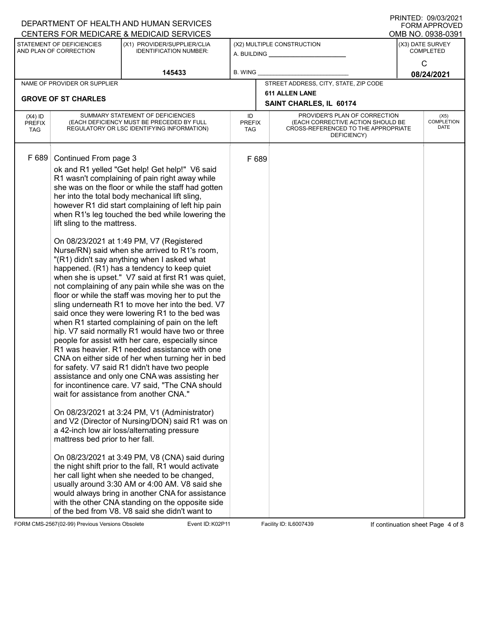|                                                                                                                                                                 |                                                                                         | DEPARTMENT OF HEALTH AND HUMAN SERVICES                                                                                                                                                                                                                                                                                                                                                                                                                                                                                                                                                                                                                                                                                                                                                                                                                                                                                                                                                                                                                                                                                                                                                                                                                                                                                                                                                                                                                                                                                                                                                                                                                                                                                                                                      |                                                      |                                                                                                                          |  | ו ועוניט עס פער היהוויו<br><b>FORM APPROVED</b><br>OMB NO. 0938-0391 |
|-----------------------------------------------------------------------------------------------------------------------------------------------------------------|-----------------------------------------------------------------------------------------|------------------------------------------------------------------------------------------------------------------------------------------------------------------------------------------------------------------------------------------------------------------------------------------------------------------------------------------------------------------------------------------------------------------------------------------------------------------------------------------------------------------------------------------------------------------------------------------------------------------------------------------------------------------------------------------------------------------------------------------------------------------------------------------------------------------------------------------------------------------------------------------------------------------------------------------------------------------------------------------------------------------------------------------------------------------------------------------------------------------------------------------------------------------------------------------------------------------------------------------------------------------------------------------------------------------------------------------------------------------------------------------------------------------------------------------------------------------------------------------------------------------------------------------------------------------------------------------------------------------------------------------------------------------------------------------------------------------------------------------------------------------------------|------------------------------------------------------|--------------------------------------------------------------------------------------------------------------------------|--|----------------------------------------------------------------------|
| CENTERS FOR MEDICARE & MEDICAID SERVICES<br>STATEMENT OF DEFICIENCIES<br>(X1) PROVIDER/SUPPLIER/CLIA<br>AND PLAN OF CORRECTION<br><b>IDENTIFICATION NUMBER:</b> |                                                                                         |                                                                                                                                                                                                                                                                                                                                                                                                                                                                                                                                                                                                                                                                                                                                                                                                                                                                                                                                                                                                                                                                                                                                                                                                                                                                                                                                                                                                                                                                                                                                                                                                                                                                                                                                                                              | (X2) MULTIPLE CONSTRUCTION<br>A. BUILDING __________ | (X3) DATE SURVEY<br><b>COMPLETED</b>                                                                                     |  |                                                                      |
| 145433                                                                                                                                                          |                                                                                         | <b>B. WING</b>                                                                                                                                                                                                                                                                                                                                                                                                                                                                                                                                                                                                                                                                                                                                                                                                                                                                                                                                                                                                                                                                                                                                                                                                                                                                                                                                                                                                                                                                                                                                                                                                                                                                                                                                                               |                                                      | C<br>08/24/2021                                                                                                          |  |                                                                      |
|                                                                                                                                                                 | NAME OF PROVIDER OR SUPPLIER                                                            |                                                                                                                                                                                                                                                                                                                                                                                                                                                                                                                                                                                                                                                                                                                                                                                                                                                                                                                                                                                                                                                                                                                                                                                                                                                                                                                                                                                                                                                                                                                                                                                                                                                                                                                                                                              |                                                      | STREET ADDRESS, CITY, STATE, ZIP CODE                                                                                    |  |                                                                      |
| <b>GROVE OF ST CHARLES</b>                                                                                                                                      |                                                                                         |                                                                                                                                                                                                                                                                                                                                                                                                                                                                                                                                                                                                                                                                                                                                                                                                                                                                                                                                                                                                                                                                                                                                                                                                                                                                                                                                                                                                                                                                                                                                                                                                                                                                                                                                                                              |                                                      | <b>611 ALLEN LANE</b><br>SAINT CHARLES, IL 60174                                                                         |  |                                                                      |
| $(X4)$ ID<br><b>PREFIX</b><br><b>TAG</b>                                                                                                                        |                                                                                         | SUMMARY STATEMENT OF DEFICIENCIES<br>(EACH DEFICIENCY MUST BE PRECEDED BY FULL<br>REGULATORY OR LSC IDENTIFYING INFORMATION)                                                                                                                                                                                                                                                                                                                                                                                                                                                                                                                                                                                                                                                                                                                                                                                                                                                                                                                                                                                                                                                                                                                                                                                                                                                                                                                                                                                                                                                                                                                                                                                                                                                 | ID<br><b>PREFIX</b><br>TAG                           | PROVIDER'S PLAN OF CORRECTION<br>(EACH CORRECTIVE ACTION SHOULD BE<br>CROSS-REFERENCED TO THE APPROPRIATE<br>DEFICIENCY) |  | (X5)<br><b>COMPLETION</b><br>DATE                                    |
| F 689                                                                                                                                                           | Continued From page 3<br>lift sling to the mattress.<br>mattress bed prior to her fall. | ok and R1 yelled "Get help! Get help!" V6 said<br>R1 wasn't complaining of pain right away while<br>she was on the floor or while the staff had gotten<br>her into the total body mechanical lift sling,<br>however R1 did start complaining of left hip pain<br>when R1's leg touched the bed while lowering the<br>On 08/23/2021 at 1:49 PM, V7 (Registered<br>Nurse/RN) said when she arrived to R1's room,<br>"(R1) didn't say anything when I asked what<br>happened. (R1) has a tendency to keep quiet<br>when she is upset." V7 said at first R1 was quiet,<br>not complaining of any pain while she was on the<br>floor or while the staff was moving her to put the<br>sling underneath R1 to move her into the bed. V7<br>said once they were lowering R1 to the bed was<br>when R1 started complaining of pain on the left<br>hip. V7 said normally R1 would have two or three<br>people for assist with her care, especially since<br>R1 was heavier. R1 needed assistance with one<br>CNA on either side of her when turning her in bed<br>for safety. V7 said R1 didn't have two people<br>assistance and only one CNA was assisting her<br>for incontinence care. V7 said, "The CNA should<br>wait for assistance from another CNA."<br>On 08/23/2021 at 3:24 PM, V1 (Administrator)<br>and V2 (Director of Nursing/DON) said R1 was on<br>a 42-inch low air loss/alternating pressure<br>On 08/23/2021 at 3:49 PM, V8 (CNA) said during<br>the night shift prior to the fall, R1 would activate<br>her call light when she needed to be changed,<br>usually around 3:30 AM or 4:00 AM. V8 said she<br>would always bring in another CNA for assistance<br>with the other CNA standing on the opposite side<br>of the bed from V8. V8 said she didn't want to | F 689                                                |                                                                                                                          |  |                                                                      |

FORM CMS-2567(02-99) Previous Versions Obsolete Event ID: K02P11 Facility ID: IL6007439 If continuation sheet Page 4 of 8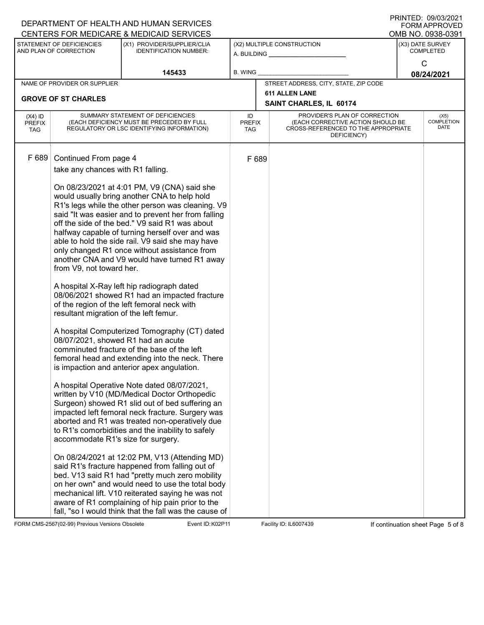|                                          |                                                                                                                                                                                                              | DEPARTMENT OF HEALTH AND HUMAN SERVICES<br>CENTERS FOR MEDICARE & MEDICAID SERVICES                                                                                                                                                                                                                                                                                                                                                                                                                                                                                                                                                                                                                                                                                                                                                                                                                                                                                                                                                                                                                                                                                                                                                                                                                                                                                                          |                |               |                                                                                                                          |                                      | <b>FORM APPROVED</b><br>OMB NO. 0938-0391 |  |
|------------------------------------------|--------------------------------------------------------------------------------------------------------------------------------------------------------------------------------------------------------------|----------------------------------------------------------------------------------------------------------------------------------------------------------------------------------------------------------------------------------------------------------------------------------------------------------------------------------------------------------------------------------------------------------------------------------------------------------------------------------------------------------------------------------------------------------------------------------------------------------------------------------------------------------------------------------------------------------------------------------------------------------------------------------------------------------------------------------------------------------------------------------------------------------------------------------------------------------------------------------------------------------------------------------------------------------------------------------------------------------------------------------------------------------------------------------------------------------------------------------------------------------------------------------------------------------------------------------------------------------------------------------------------|----------------|---------------|--------------------------------------------------------------------------------------------------------------------------|--------------------------------------|-------------------------------------------|--|
|                                          | STATEMENT OF DEFICIENCIES<br>(X1) PROVIDER/SUPPLIER/CLIA<br>AND PLAN OF CORRECTION<br><b>IDENTIFICATION NUMBER:</b>                                                                                          |                                                                                                                                                                                                                                                                                                                                                                                                                                                                                                                                                                                                                                                                                                                                                                                                                                                                                                                                                                                                                                                                                                                                                                                                                                                                                                                                                                                              |                |               | (X2) MULTIPLE CONSTRUCTION<br>A. BUILDING ______________                                                                 | (X3) DATE SURVEY<br><b>COMPLETED</b> |                                           |  |
|                                          |                                                                                                                                                                                                              | 145433                                                                                                                                                                                                                                                                                                                                                                                                                                                                                                                                                                                                                                                                                                                                                                                                                                                                                                                                                                                                                                                                                                                                                                                                                                                                                                                                                                                       | <b>B. WING</b> |               |                                                                                                                          | C<br>08/24/2021                      |                                           |  |
|                                          | NAME OF PROVIDER OR SUPPLIER                                                                                                                                                                                 |                                                                                                                                                                                                                                                                                                                                                                                                                                                                                                                                                                                                                                                                                                                                                                                                                                                                                                                                                                                                                                                                                                                                                                                                                                                                                                                                                                                              |                |               | STREET ADDRESS, CITY, STATE, ZIP CODE                                                                                    |                                      |                                           |  |
|                                          | <b>GROVE OF ST CHARLES</b>                                                                                                                                                                                   |                                                                                                                                                                                                                                                                                                                                                                                                                                                                                                                                                                                                                                                                                                                                                                                                                                                                                                                                                                                                                                                                                                                                                                                                                                                                                                                                                                                              |                |               | <b>611 ALLEN LANE</b><br>SAINT CHARLES, IL 60174                                                                         |                                      |                                           |  |
| $(X4)$ ID<br><b>PREFIX</b><br><b>TAG</b> | SUMMARY STATEMENT OF DEFICIENCIES<br>(EACH DEFICIENCY MUST BE PRECEDED BY FULL<br>REGULATORY OR LSC IDENTIFYING INFORMATION)                                                                                 |                                                                                                                                                                                                                                                                                                                                                                                                                                                                                                                                                                                                                                                                                                                                                                                                                                                                                                                                                                                                                                                                                                                                                                                                                                                                                                                                                                                              |                | <b>PREFIX</b> | PROVIDER'S PLAN OF CORRECTION<br>(EACH CORRECTIVE ACTION SHOULD BE<br>CROSS-REFERENCED TO THE APPROPRIATE<br>DEFICIENCY) |                                      | (X5)<br><b>COMPLETION</b><br>DATE         |  |
| F 689                                    | Continued From page 4<br>take any chances with R1 falling.<br>from V9, not toward her.<br>resultant migration of the left femur.<br>08/07/2021, showed R1 had an acute<br>accommodate R1's size for surgery. | On 08/23/2021 at 4:01 PM, V9 (CNA) said she<br>would usually bring another CNA to help hold<br>R1's legs while the other person was cleaning. V9<br>said "It was easier and to prevent her from falling<br>off the side of the bed." V9 said R1 was about<br>halfway capable of turning herself over and was<br>able to hold the side rail. V9 said she may have<br>only changed R1 once without assistance from<br>another CNA and V9 would have turned R1 away<br>A hospital X-Ray left hip radiograph dated<br>08/06/2021 showed R1 had an impacted fracture<br>of the region of the left femoral neck with<br>A hospital Computerized Tomography (CT) dated<br>comminuted fracture of the base of the left<br>femoral head and extending into the neck. There<br>is impaction and anterior apex angulation.<br>A hospital Operative Note dated 08/07/2021,<br>written by V10 (MD/Medical Doctor Orthopedic<br>Surgeon) showed R1 slid out of bed suffering an<br>impacted left femoral neck fracture. Surgery was<br>aborted and R1 was treated non-operatively due<br>to R1's comorbidities and the inability to safely<br>On 08/24/2021 at 12:02 PM, V13 (Attending MD)<br>said R1's fracture happened from falling out of<br>bed. V13 said R1 had "pretty much zero mobility<br>on her own" and would need to use the total body<br>mechanical lift. V10 reiterated saying he was not | F 689          |               |                                                                                                                          |                                      |                                           |  |
|                                          |                                                                                                                                                                                                              | aware of R1 complaining of hip pain prior to the<br>fall, "so I would think that the fall was the cause of                                                                                                                                                                                                                                                                                                                                                                                                                                                                                                                                                                                                                                                                                                                                                                                                                                                                                                                                                                                                                                                                                                                                                                                                                                                                                   |                |               |                                                                                                                          |                                      |                                           |  |

FORM CMS-2567(02-99) Previous Versions Obsolete **Konferent Event ID: K02P11** Facility ID: IL6007439 If continuation sheet Page 5 of 8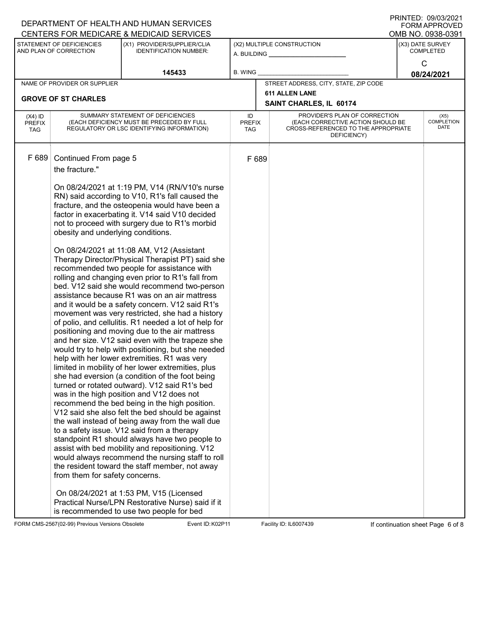|                                                                                                                     |                                                                               | DEPARTMENT OF HEALTH AND HUMAN SERVICES                                                                                                                                                                                                                                                                                                                                                                                                                                                                                                                                                                                                                                                                                                                                                                                                                                                                                                                                                                                                                                                          |                                                                     |                                                                                                                          |  | <b>FORM APPROVED</b>              |
|---------------------------------------------------------------------------------------------------------------------|-------------------------------------------------------------------------------|--------------------------------------------------------------------------------------------------------------------------------------------------------------------------------------------------------------------------------------------------------------------------------------------------------------------------------------------------------------------------------------------------------------------------------------------------------------------------------------------------------------------------------------------------------------------------------------------------------------------------------------------------------------------------------------------------------------------------------------------------------------------------------------------------------------------------------------------------------------------------------------------------------------------------------------------------------------------------------------------------------------------------------------------------------------------------------------------------|---------------------------------------------------------------------|--------------------------------------------------------------------------------------------------------------------------|--|-----------------------------------|
|                                                                                                                     |                                                                               | CENTERS FOR MEDICARE & MEDICAID SERVICES                                                                                                                                                                                                                                                                                                                                                                                                                                                                                                                                                                                                                                                                                                                                                                                                                                                                                                                                                                                                                                                         |                                                                     |                                                                                                                          |  | OMB NO. 0938-0391                 |
| STATEMENT OF DEFICIENCIES<br>(X1) PROVIDER/SUPPLIER/CLIA<br>AND PLAN OF CORRECTION<br><b>IDENTIFICATION NUMBER:</b> |                                                                               |                                                                                                                                                                                                                                                                                                                                                                                                                                                                                                                                                                                                                                                                                                                                                                                                                                                                                                                                                                                                                                                                                                  | (X2) MULTIPLE CONSTRUCTION<br>A. BUILDING <u>__________________</u> | (X3) DATE SURVEY<br><b>COMPLETED</b>                                                                                     |  |                                   |
|                                                                                                                     |                                                                               | 145433                                                                                                                                                                                                                                                                                                                                                                                                                                                                                                                                                                                                                                                                                                                                                                                                                                                                                                                                                                                                                                                                                           | <b>B. WING</b>                                                      |                                                                                                                          |  | $\mathsf{C}$<br>08/24/2021        |
|                                                                                                                     | NAME OF PROVIDER OR SUPPLIER                                                  |                                                                                                                                                                                                                                                                                                                                                                                                                                                                                                                                                                                                                                                                                                                                                                                                                                                                                                                                                                                                                                                                                                  |                                                                     | STREET ADDRESS, CITY, STATE, ZIP CODE                                                                                    |  |                                   |
|                                                                                                                     | <b>GROVE OF ST CHARLES</b>                                                    |                                                                                                                                                                                                                                                                                                                                                                                                                                                                                                                                                                                                                                                                                                                                                                                                                                                                                                                                                                                                                                                                                                  |                                                                     | <b>611 ALLEN LANE</b><br>SAINT CHARLES, IL 60174                                                                         |  |                                   |
| $(X4)$ ID<br><b>PREFIX</b><br><b>TAG</b>                                                                            |                                                                               | SUMMARY STATEMENT OF DEFICIENCIES<br>(EACH DEFICIENCY MUST BE PRECEDED BY FULL<br>REGULATORY OR LSC IDENTIFYING INFORMATION)                                                                                                                                                                                                                                                                                                                                                                                                                                                                                                                                                                                                                                                                                                                                                                                                                                                                                                                                                                     | ID<br><b>PREFIX</b><br>TAG                                          | PROVIDER'S PLAN OF CORRECTION<br>(EACH CORRECTIVE ACTION SHOULD BE<br>CROSS-REFERENCED TO THE APPROPRIATE<br>DEFICIENCY) |  | (X5)<br><b>COMPLETION</b><br>DATE |
| F 689                                                                                                               | Continued From page 5<br>the fracture."<br>obesity and underlying conditions. | On 08/24/2021 at 1:19 PM, V14 (RN/V10's nurse<br>RN) said according to V10, R1's fall caused the<br>fracture, and the osteopenia would have been a<br>factor in exacerbating it. V14 said V10 decided<br>not to proceed with surgery due to R1's morbid<br>On 08/24/2021 at 11:08 AM, V12 (Assistant<br>Therapy Director/Physical Therapist PT) said she<br>recommended two people for assistance with<br>rolling and changing even prior to R1's fall from                                                                                                                                                                                                                                                                                                                                                                                                                                                                                                                                                                                                                                      | F 689                                                               |                                                                                                                          |  |                                   |
|                                                                                                                     | from them for safety concerns.                                                | bed. V12 said she would recommend two-person<br>assistance because R1 was on an air mattress<br>and it would be a safety concern. V12 said R1's<br>movement was very restricted, she had a history<br>of polio, and cellulitis. R1 needed a lot of help for<br>positioning and moving due to the air mattress<br>and her size. V12 said even with the trapeze she<br>would try to help with positioning, but she needed<br>help with her lower extremities. R1 was very<br>limited in mobility of her lower extremities, plus<br>she had eversion (a condition of the foot being<br>turned or rotated outward). V12 said R1's bed<br>was in the high position and V12 does not<br>recommend the bed being in the high position.<br>V12 said she also felt the bed should be against<br>the wall instead of being away from the wall due<br>to a safety issue. V12 said from a therapy<br>standpoint R1 should always have two people to<br>assist with bed mobility and repositioning. V12<br>would always recommend the nursing staff to roll<br>the resident toward the staff member, not away |                                                                     |                                                                                                                          |  |                                   |
|                                                                                                                     |                                                                               | On 08/24/2021 at 1:53 PM, V15 (Licensed<br>Practical Nurse/LPN Restorative Nurse) said if it<br>is recommended to use two people for bed                                                                                                                                                                                                                                                                                                                                                                                                                                                                                                                                                                                                                                                                                                                                                                                                                                                                                                                                                         |                                                                     |                                                                                                                          |  |                                   |

FORM CMS-2567(02-99) Previous Versions Obsolete **Kollet Event ID: K02P11** Facility ID: IL6007439 If continuation sheet Page 6 of 8

DEPARTMENT OF HEALTH AND HUMAN SERVICES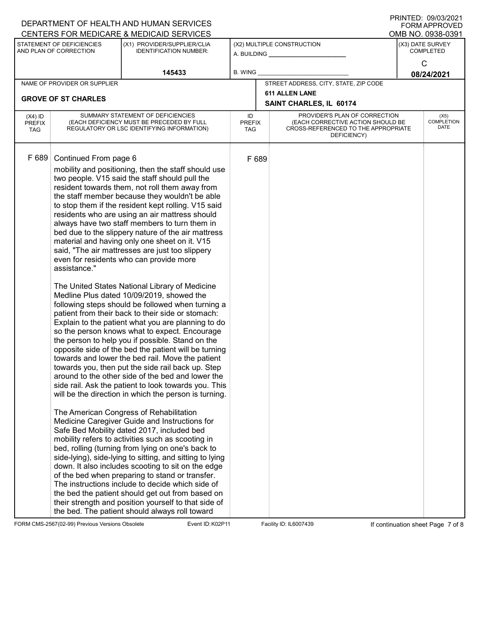|                                                                                                                     |                                       | DEPARTMENT OF HEALTH AND HUMAN SERVICES                                                                                                                                                                                                                                                                                                                                                                                                                                                                                                                                                                                                                                                                                                                                                                                                                                                                                                                                                                                                                                                                                                                                                                                                                                                                                                                                                                                                                                                                                                                                                                                                                                                                                                                                                                                                                                                                                        |                            |                                                                                                                          |  | <b>FORM APPROVED</b>              |
|---------------------------------------------------------------------------------------------------------------------|---------------------------------------|--------------------------------------------------------------------------------------------------------------------------------------------------------------------------------------------------------------------------------------------------------------------------------------------------------------------------------------------------------------------------------------------------------------------------------------------------------------------------------------------------------------------------------------------------------------------------------------------------------------------------------------------------------------------------------------------------------------------------------------------------------------------------------------------------------------------------------------------------------------------------------------------------------------------------------------------------------------------------------------------------------------------------------------------------------------------------------------------------------------------------------------------------------------------------------------------------------------------------------------------------------------------------------------------------------------------------------------------------------------------------------------------------------------------------------------------------------------------------------------------------------------------------------------------------------------------------------------------------------------------------------------------------------------------------------------------------------------------------------------------------------------------------------------------------------------------------------------------------------------------------------------------------------------------------------|----------------------------|--------------------------------------------------------------------------------------------------------------------------|--|-----------------------------------|
|                                                                                                                     |                                       | CENTERS FOR MEDICARE & MEDICAID SERVICES                                                                                                                                                                                                                                                                                                                                                                                                                                                                                                                                                                                                                                                                                                                                                                                                                                                                                                                                                                                                                                                                                                                                                                                                                                                                                                                                                                                                                                                                                                                                                                                                                                                                                                                                                                                                                                                                                       |                            |                                                                                                                          |  | OMB NO. 0938-0391                 |
| STATEMENT OF DEFICIENCIES<br>(X1) PROVIDER/SUPPLIER/CLIA<br>AND PLAN OF CORRECTION<br><b>IDENTIFICATION NUMBER:</b> |                                       | A. BUILDING __                                                                                                                                                                                                                                                                                                                                                                                                                                                                                                                                                                                                                                                                                                                                                                                                                                                                                                                                                                                                                                                                                                                                                                                                                                                                                                                                                                                                                                                                                                                                                                                                                                                                                                                                                                                                                                                                                                                 | (X2) MULTIPLE CONSTRUCTION | (X3) DATE SURVEY<br><b>COMPLETED</b>                                                                                     |  |                                   |
| 145433                                                                                                              |                                       |                                                                                                                                                                                                                                                                                                                                                                                                                                                                                                                                                                                                                                                                                                                                                                                                                                                                                                                                                                                                                                                                                                                                                                                                                                                                                                                                                                                                                                                                                                                                                                                                                                                                                                                                                                                                                                                                                                                                | <b>B. WING</b>             |                                                                                                                          |  | $\mathsf{C}$<br>08/24/2021        |
|                                                                                                                     | NAME OF PROVIDER OR SUPPLIER          |                                                                                                                                                                                                                                                                                                                                                                                                                                                                                                                                                                                                                                                                                                                                                                                                                                                                                                                                                                                                                                                                                                                                                                                                                                                                                                                                                                                                                                                                                                                                                                                                                                                                                                                                                                                                                                                                                                                                |                            | STREET ADDRESS, CITY, STATE, ZIP CODE                                                                                    |  |                                   |
|                                                                                                                     | <b>GROVE OF ST CHARLES</b>            |                                                                                                                                                                                                                                                                                                                                                                                                                                                                                                                                                                                                                                                                                                                                                                                                                                                                                                                                                                                                                                                                                                                                                                                                                                                                                                                                                                                                                                                                                                                                                                                                                                                                                                                                                                                                                                                                                                                                |                            | <b>611 ALLEN LANE</b><br>SAINT CHARLES, IL 60174                                                                         |  |                                   |
| $(X4)$ ID<br><b>PREFIX</b><br><b>TAG</b>                                                                            |                                       | SUMMARY STATEMENT OF DEFICIENCIES<br>(EACH DEFICIENCY MUST BE PRECEDED BY FULL<br>REGULATORY OR LSC IDENTIFYING INFORMATION)                                                                                                                                                                                                                                                                                                                                                                                                                                                                                                                                                                                                                                                                                                                                                                                                                                                                                                                                                                                                                                                                                                                                                                                                                                                                                                                                                                                                                                                                                                                                                                                                                                                                                                                                                                                                   | ID<br><b>PREFIX</b><br>TAG | PROVIDER'S PLAN OF CORRECTION<br>(EACH CORRECTIVE ACTION SHOULD BE<br>CROSS-REFERENCED TO THE APPROPRIATE<br>DEFICIENCY) |  | (X5)<br><b>COMPLETION</b><br>DATE |
| F 689                                                                                                               | Continued From page 6<br>assistance." | mobility and positioning, then the staff should use<br>two people. V15 said the staff should pull the<br>resident towards them, not roll them away from<br>the staff member because they wouldn't be able<br>to stop them if the resident kept rolling. V15 said<br>residents who are using an air mattress should<br>always have two staff members to turn them in<br>bed due to the slippery nature of the air mattress<br>material and having only one sheet on it. V15<br>said, "The air mattresses are just too slippery<br>even for residents who can provide more<br>The United States National Library of Medicine<br>Medline Plus dated 10/09/2019, showed the<br>following steps should be followed when turning a<br>patient from their back to their side or stomach:<br>Explain to the patient what you are planning to do<br>so the person knows what to expect. Encourage<br>the person to help you if possible. Stand on the<br>opposite side of the bed the patient will be turning<br>towards and lower the bed rail. Move the patient<br>towards you, then put the side rail back up. Step<br>around to the other side of the bed and lower the<br>side rail. Ask the patient to look towards you. This<br>will be the direction in which the person is turning.<br>The American Congress of Rehabilitation<br>Medicine Caregiver Guide and Instructions for<br>Safe Bed Mobility dated 2017, included bed<br>mobility refers to activities such as scooting in<br>bed, rolling (turning from lying on one's back to<br>side-lying), side-lying to sitting, and sitting to lying<br>down. It also includes scooting to sit on the edge<br>of the bed when preparing to stand or transfer.<br>The instructions include to decide which side of<br>the bed the patient should get out from based on<br>their strength and position yourself to that side of<br>the bed. The patient should always roll toward | F 689                      |                                                                                                                          |  |                                   |

FORM CMS-2567(02-99) Previous Versions Obsolete Event ID: K02P11 Facility ID: IL6007439 If continuation sheet Page 7 of 8

DEPARTMENT OF HEALTH AND HUMAN SERVICES